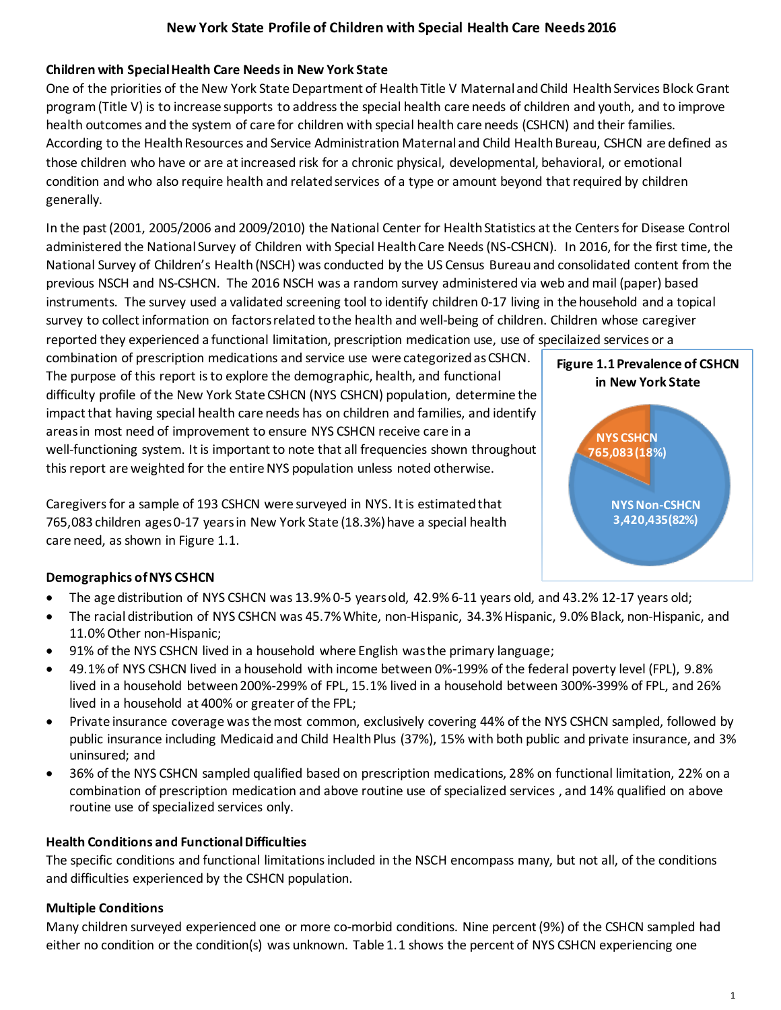# **Children with Special Health Care Needsin New York State**

One of the priorities of the New York State Department of Health Title V Maternal and Child Health Services Block Grant program(Title V) is to increase supports to address the special health care needs of children and youth, and to improve health outcomes and the system of care for children with special health care needs (CSHCN) and their families. According to the Health Resources and Service Administration Maternal and Child Health Bureau, CSHCN are defined as those children who have or are at increased risk for a chronic physical, developmental, behavioral, or emotional condition and who also require health and related services of a type or amount beyond that required by children generally.

In the past (2001, 2005/2006 and 2009/2010) the National Center for Health Statistics at the Centers for Disease Control administered the National Survey of Children with Special Health Care Needs (NS-CSHCN). In 2016, for the first time, the National Survey of Children's Health (NSCH) was conducted by the US Census Bureau and consolidated content from the previous NSCH and NS-CSHCN. The 2016 NSCH was a random survey administered via web and mail (paper) based instruments. The survey used a validated screening tool to identify children 0-17 living in the household and a topical survey to collect information on factors related to the health and well-being of children. Children whose caregiver reported they experienced a functional limitation, prescription medication use, use of specilaized services or a

combination of prescription medications and service use were categorized as CSHCN. The purpose of this report is to explore the demographic, health, and functional difficulty profile of the New York State CSHCN (NYS CSHCN) population, determine the impact that having special health care needs has on children and families, and identify areas in most need of improvement to ensure NYS CSHCN receive care in a well-functioning system. It is important to note that all frequencies shown throughout this report are weighted for the entire NYS population unless noted otherwise.

Caregivers for a sample of 193 CSHCN were surveyed in NYS. It is estimated that 765,083 children ages 0-17 years in New York State (18.3%) have a special health care need, as shown in Figure 1.1.



## **Demographics ofNYS CSHCN**

- The age distribution of NYS CSHCN was 13.9% 0-5 years old, 42.9% 6-11 years old, and 43.2% 12-17 years old;
- The racial distribution of NYS CSHCN was 45.7% White, non-Hispanic, 34.3% Hispanic, 9.0% Black, non-Hispanic, and 11.0%Other non-Hispanic;
- 91% of the NYS CSHCN lived in a household where English was the primary language;
- 49.1% of NYS CSHCN lived in a household with income between 0%-199% of the federal poverty level (FPL), 9.8% lived in a household between 200%-299% of FPL, 15.1% lived in a household between 300%-399% of FPL, and 26% lived in a household at 400% or greater of the FPL;
- Private insurance coverage was the most common, exclusively covering 44% of the NYS CSHCN sampled, followed by public insurance including Medicaid and Child Health Plus (37%), 15% with both public and private insurance, and 3% uninsured; and
- 36% of the NYS CSHCN sampled qualified based on prescription medications, 28% on functional limitation, 22% on a combination of prescription medication and above routine use of specialized services , and 14% qualified on above routine use of specialized services only.

## **Health Conditions and Functional Difficulties**

The specific conditions and functional limitations included in the NSCH encompass many, but not all, of the conditions and difficulties experienced by the CSHCN population.

## **Multiple Conditions**

Many children surveyed experienced one or more co-morbid conditions. Nine percent (9%) of the CSHCN sampled had either no condition or the condition(s) was unknown. Table 1.1 shows the percent of NYS CSHCN experiencing one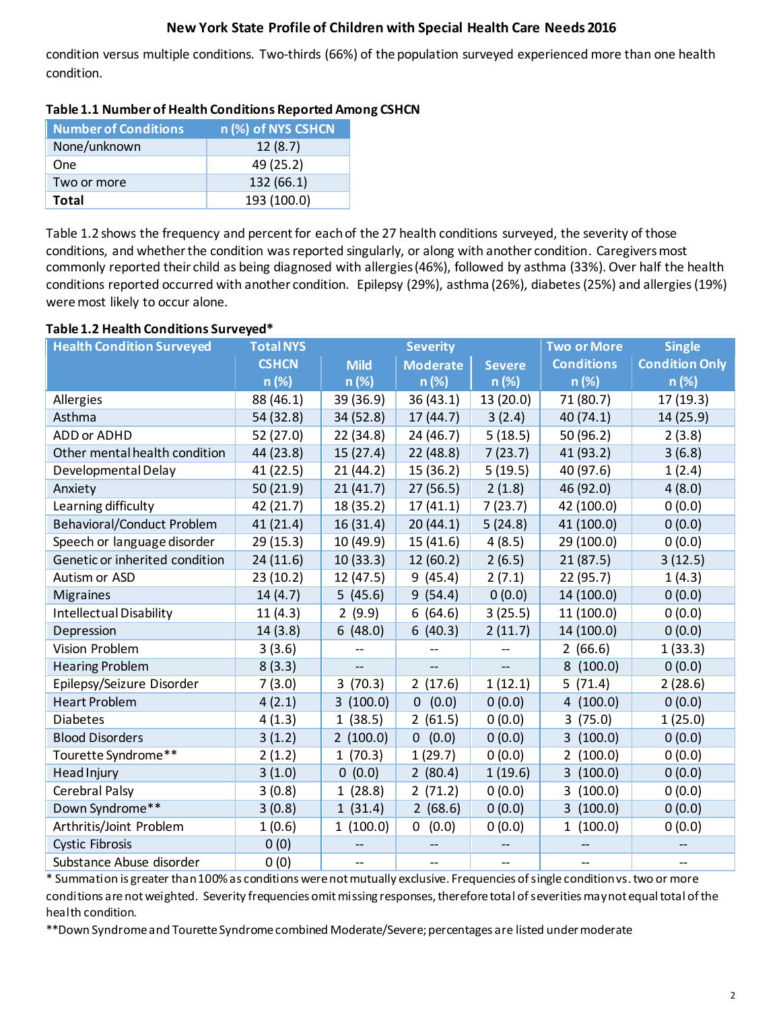condition versus multiple conditions. Two-thirds (66%) of the population surveyed experienced more than one health condition.

| <b>Number of Conditions</b> | n (%) of NYS CSHCN |
|-----------------------------|--------------------|
| None/unknown                | 12(8.7)            |
| One                         | 49 (25.2)          |
| Two or more                 | 132 (66.1)         |
| Total                       | 193 (100.0)        |

### **Table 1.1 Number of Health Conditions Reported Among CSHCN**

Table 1.2 shows the frequency and percent for each of the 27 health conditions surveyed, the severity of those conditions, and whether the condition was reported singularly, or along with another condition. Caregiversmost commonly reported their child as being diagnosed with allergies (46%), followed by asthma (33%). Over half the health conditions reported occurred with another condition. Epilepsy (29%), asthma (26%), diabetes (25%) and allergies (19%) were most likely to occur alone.

### **Table 1.2 Health Conditions Surveyed\***

| <b>Health Condition Surveyed</b>  | <b>Total NYS</b> | <b>Severity</b> |                       | <b>Two or More</b> | <b>Single</b>          |                       |  |
|-----------------------------------|------------------|-----------------|-----------------------|--------------------|------------------------|-----------------------|--|
|                                   | <b>CSHCN</b>     | <b>Mild</b>     | <b>Moderate</b>       | <b>Severe</b>      | <b>Conditions</b>      | <b>Condition Only</b> |  |
|                                   | n (%)            | $n(\%)$         | n (%)                 | n (%)              | $n(\%)$                | n (%)                 |  |
| Allergies                         | 88 (46.1)        | 39 (36.9)       | 36(43.1)              | 13(20.0)           | 71 (80.7)              | 17(19.3)              |  |
| Asthma                            | 54 (32.8)        | 34 (52.8)       | 17 (44.7)             | 3(2.4)             | 40(74.1)               | 14 (25.9)             |  |
| ADD or ADHD                       | 52 (27.0)        | 22(34.8)        | 24(46.7)              | 5(18.5)            | 50 (96.2)              | 2(3.8)                |  |
| Other mental health condition     | 44 (23.8)        | 15(27.4)        | 22 (48.8)             | 7(23.7)            | 41 (93.2)              | 3(6.8)                |  |
| Developmental Delay               | 41 (22.5)        | 21(44.2)        | 15 (36.2)             | 5(19.5)            | 40 (97.6)              | 1(2.4)                |  |
| Anxiety                           | 50(21.9)         | 21(41.7)        | 27(56.5)              | 2(1.8)             | 46 (92.0)              | 4(8.0)                |  |
| Learning difficulty               | 42 (21.7)        | 18 (35.2)       | 17(41.1)              | 7(23.7)            | 42 (100.0)             | 0(0.0)                |  |
| <b>Behavioral/Conduct Problem</b> | 41 (21.4)        | 16 (31.4)       | 20(44.1)              | 5(24.8)            | 41 (100.0)             | 0(0.0)                |  |
| Speech or language disorder       | 29(15.3)         | 10 (49.9)       | 15 (41.6)             | 4(8.5)             | 29 (100.0)             | 0(0.0)                |  |
| Genetic or inherited condition    | 24(11.6)         | 10(33.3)        | 12 (60.2)             | 2(6.5)             | 21(87.5)               | 3(12.5)               |  |
| Autism or ASD                     | 23(10.2)         | 12 (47.5)       | 9(45.4)               | 2(7.1)             | 22 (95.7)              | 1(4.3)                |  |
| <b>Migraines</b>                  | 14(4.7)          | 5(45.6)         | 9(54.4)               | 0(0.0)             | 14 (100.0)             | 0(0.0)                |  |
| <b>Intellectual Disability</b>    | 11(4.3)          | 2(9.9)          | 6(64.6)               | 3(25.5)            | 11 (100.0)             | 0(0.0)                |  |
| Depression                        | 14(3.8)          | 6(48.0)         | 6(40.3)               | 2(11.7)            | 14 (100.0)             | 0(0.0)                |  |
| Vision Problem                    | 3(3.6)           |                 |                       |                    | 2(66.6)                | 1(33.3)               |  |
| <b>Hearing Problem</b>            | 8(3.3)           |                 |                       |                    | (100.0)<br>8           | 0(0.0)                |  |
| Epilepsy/Seizure Disorder         | 7(3.0)           | (70.3)<br>3     | 2(17.6)               | 1(12.1)            | 5(71.4)                | 2(28.6)               |  |
| <b>Heart Problem</b>              | 4(2.1)           | 3(100.0)        | (0.0)<br>$\mathbf{0}$ | 0(0.0)             | 4(100.0)               | 0(0.0)                |  |
| <b>Diabetes</b>                   | 4(1.3)           | 1(38.5)         | 2(61.5)               | 0(0.0)             | (75.0)<br>3            | 1(25.0)               |  |
| <b>Blood Disorders</b>            | 3(1.2)           | 2(100.0)        | 0(0.0)                | 0(0.0)             | (100.0)<br>3           | 0(0.0)                |  |
| Tourette Syndrome**               | 2(1.2)           | 1(70.3)         | 1(29.7)               | 0(0.0)             | (100.0)<br>$2^{\circ}$ | 0(0.0)                |  |
| Head Injury                       | 3(1.0)           | 0(0.0)          | 2(80.4)               | 1(19.6)            | (100.0)<br>3           | 0(0.0)                |  |
| Cerebral Palsy                    | 3(0.8)           | 1(28.8)         | 2(71.2)               | 0(0.0)             | (100.0)<br>3           | 0(0.0)                |  |
| Down Syndrome**                   | 3(0.8)           | 1(31.4)         | 2(68.6)               | 0(0.0)             | (100.0)<br>3           | 0(0.0)                |  |
| Arthritis/Joint Problem           | 1(0.6)           | 1(100.0)        | 0(0.0)                | 0(0.0)             | 1(100.0)               | 0(0.0)                |  |
| <b>Cystic Fibrosis</b>            | 0(0)             |                 |                       |                    |                        |                       |  |
| Substance Abuse disorder          | 0(0)             |                 |                       |                    | --                     |                       |  |

\* Summation is greater than 100% as conditions were not mutually exclusive. Frequencies of single condition vs. two or more conditions are not weighted. Severity frequencies omit missing responses, therefore total of severities may not equal total of the health condition.

\*\*Down Syndrome and Tourette Syndrome combined Moderate/Severe; percentages are listed under moderate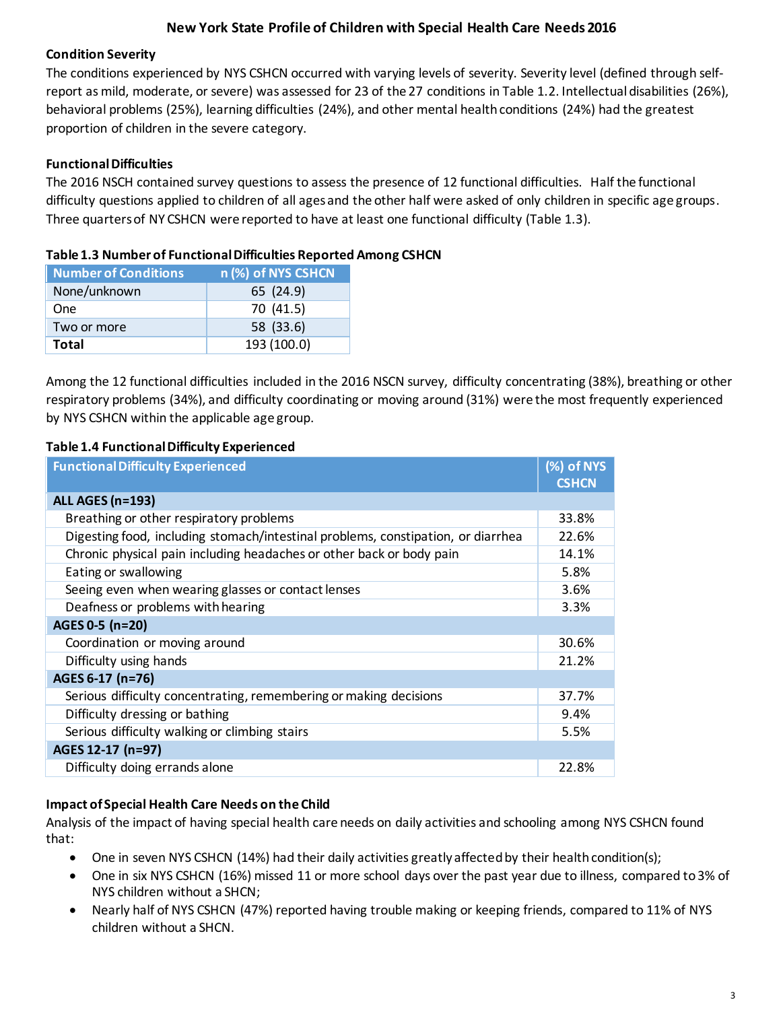### **Condition Severity**

The conditions experienced by NYS CSHCN occurred with varying levels of severity. Severity level (defined through selfreport as mild, moderate, or severe) was assessed for 23 of the 27 conditions in Table 1.2. Intellectual disabilities (26%), behavioral problems (25%), learning difficulties (24%), and other mental health conditions (24%) had the greatest proportion of children in the severe category.

### **Functional Difficulties**

The 2016 NSCH contained survey questions to assess the presence of 12 functional difficulties. Half the functional difficulty questions applied to children of all ages and the other half were asked of only children in specific age groups. Three quarters of NY CSHCN were reported to have at least one functional difficulty (Table 1.3).

|  |  | Table 1.3 Number of Functional Difficulties Reported Among CSHCN |
|--|--|------------------------------------------------------------------|
|--|--|------------------------------------------------------------------|

| <b>Number of Conditions</b> | n (%) of NYS CSHCN |
|-----------------------------|--------------------|
| None/unknown                | 65 (24.9)          |
| One                         | 70 (41.5)          |
| Two or more                 | 58 (33.6)          |
| <b>Total</b>                | 193 (100.0)        |

Among the 12 functional difficulties included in the 2016 NSCN survey, difficulty concentrating (38%), breathing or other respiratory problems (34%), and difficulty coordinating or moving around (31%) were the most frequently experienced by NYS CSHCN within the applicable age group.

### **Table 1.4 Functional Difficulty Experienced**

| <b>Functional Difficulty Experienced</b>                                         | (%) of NYS   |
|----------------------------------------------------------------------------------|--------------|
|                                                                                  | <b>CSHCN</b> |
| <b>ALL AGES (n=193)</b>                                                          |              |
| Breathing or other respiratory problems                                          | 33.8%        |
| Digesting food, including stomach/intestinal problems, constipation, or diarrhea | 22.6%        |
| Chronic physical pain including headaches or other back or body pain             | 14.1%        |
| Eating or swallowing                                                             | 5.8%         |
| Seeing even when wearing glasses or contact lenses                               | 3.6%         |
| Deafness or problems with hearing                                                | 3.3%         |
| AGES 0-5 (n=20)                                                                  |              |
| Coordination or moving around                                                    | 30.6%        |
| Difficulty using hands                                                           | 21.2%        |
| AGES 6-17 (n=76)                                                                 |              |
| Serious difficulty concentrating, remembering or making decisions                | 37.7%        |
| Difficulty dressing or bathing                                                   | 9.4%         |
| Serious difficulty walking or climbing stairs                                    | 5.5%         |
| AGES 12-17 (n=97)                                                                |              |
| Difficulty doing errands alone                                                   | 22.8%        |

## **Impact of Special Health Care Needs on the Child**

Analysis of the impact of having special health care needs on daily activities and schooling among NYS CSHCN found that:

- One in seven NYS CSHCN (14%) had their daily activities greatly affected by their health condition(s);
- One in six NYS CSHCN (16%) missed 11 or more school days over the past year due to illness, compared to 3% of NYS children without a SHCN;
- Nearly half of NYS CSHCN (47%) reported having trouble making or keeping friends, compared to 11% of NYS children without a SHCN.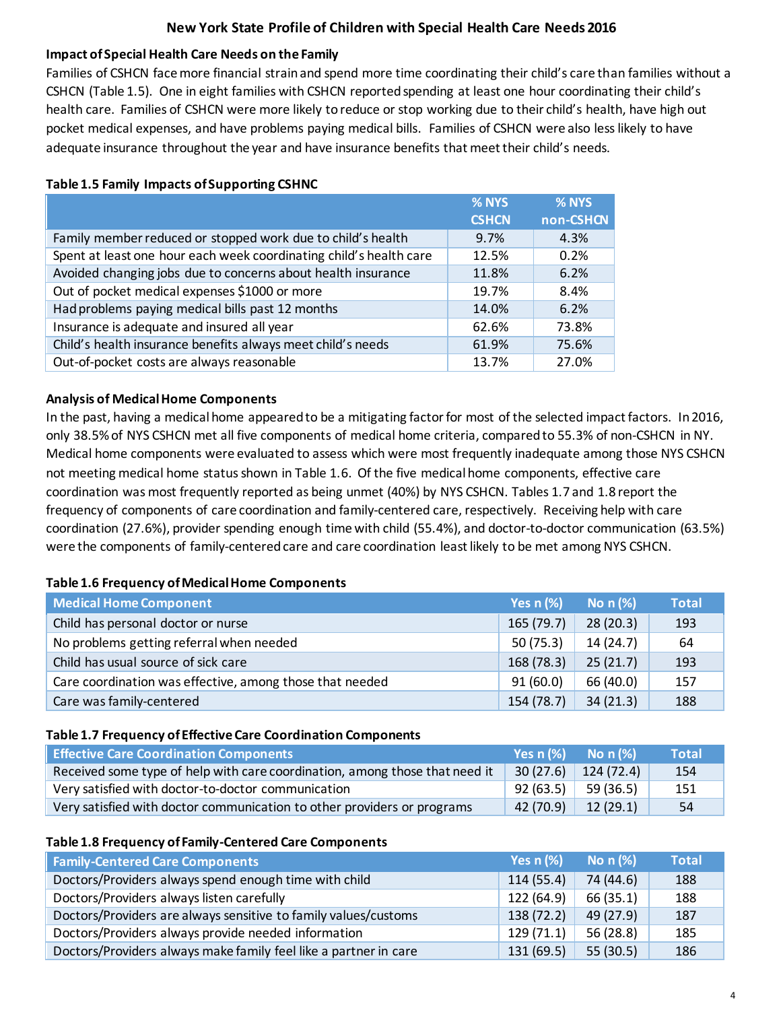### **Impact of Special Health Care Needs on the Family**

Families of CSHCN face more financial strain and spend more time coordinating their child's care than families without a CSHCN (Table 1.5). One in eight families with CSHCN reported spending at least one hour coordinating their child's health care. Families of CSHCN were more likely to reduce or stop working due to their child's health, have high out pocket medical expenses, and have problems paying medical bills. Families of CSHCN were also less likely to have adequate insurance throughout the year and have insurance benefits that meet their child's needs.

|                                                                    | % NYS        | % NYS     |
|--------------------------------------------------------------------|--------------|-----------|
|                                                                    | <b>CSHCN</b> | non-CSHCN |
| Family member reduced or stopped work due to child's health        | 9.7%         | 4.3%      |
| Spent at least one hour each week coordinating child's health care | 12.5%        | 0.2%      |
| Avoided changing jobs due to concerns about health insurance       | 11.8%        | 6.2%      |
| Out of pocket medical expenses \$1000 or more                      | 19.7%        | 8.4%      |
| Had problems paying medical bills past 12 months                   | 14.0%        | 6.2%      |
| Insurance is adequate and insured all year                         | 62.6%        | 73.8%     |
| Child's health insurance benefits always meet child's needs        | 61.9%        | 75.6%     |
| Out-of-pocket costs are always reasonable                          | 13.7%        | 27.0%     |

### **Table 1.5 Family Impacts of Supporting CSHNC**

#### **Analysis of Medical Home Components**

In the past, having a medical home appeared to be a mitigating factor for most of the selected impact factors. In 2016, only 38.5% of NYS CSHCN met all five components of medical home criteria, compared to 55.3% of non-CSHCN in NY. Medical home components were evaluated to assess which were most frequently inadequate among those NYS CSHCN not meeting medical home status shown in Table 1.6. Of the five medical home components, effective care coordination was most frequently reported as being unmet (40%) by NYS CSHCN. Tables 1.7 and 1.8 report the frequency of components of care coordination and family-centered care, respectively. Receiving help with care coordination (27.6%), provider spending enough time with child (55.4%), and doctor-to-doctor communication (63.5%) were the components of family-centered care and care coordination least likely to be met among NYS CSHCN.

#### **Table 1.6 Frequency of Medical Home Components**

| <b>Medical Home Component</b>                            | Yes $n$ $%$ | No $n$ $%$ | <b>Total</b> |
|----------------------------------------------------------|-------------|------------|--------------|
| Child has personal doctor or nurse                       | 165(79.7)   | 28(20.3)   | 193          |
| No problems getting referral when needed                 | 50(75.3)    | 14(24.7)   | 64           |
| Child has usual source of sick care                      | 168 (78.3)  | 25(21.7)   | 193          |
| Care coordination was effective, among those that needed | 91(60.0)    | 66 (40.0)  | 157          |
| Care was family-centered                                 | 154 (78.7)  | 34(21.3)   | 188          |

#### **Table 1.7 Frequency of Effective Care Coordination Components**

| <b>Effective Care Coordination Components</b>                               | <b>Yes n <math>(\%)</math></b> No n $(\%)$ | <b>Total</b> |
|-----------------------------------------------------------------------------|--------------------------------------------|--------------|
| Received some type of help with care coordination, among those that need it | $30(27.6)$ 124 (72.4)                      | 154          |
| Very satisfied with doctor-to-doctor communication                          | $92(63.5)$ 59 (36.5)                       | 151          |
| Very satisfied with doctor communication to other providers or programs     | $\left  \right $ 42 (70.9) 12 (29.1)       | 54           |

#### **Table 1.8 Frequency of Family-Centered Care Components**

| <b>Family-Centered Care Components</b>                           | Yes $n$ (%) | No $n$ (%) | <b>Total</b> |
|------------------------------------------------------------------|-------------|------------|--------------|
| Doctors/Providers always spend enough time with child            | 114(55.4)   | 74 (44.6)  | 188          |
| Doctors/Providers always listen carefully                        | 122 (64.9)  | 66 (35.1)  | 188          |
| Doctors/Providers are always sensitive to family values/customs  | 138(72.2)   | 49 (27.9)  | 187          |
| Doctors/Providers always provide needed information              | 129(71.1)   | 56 (28.8)  | 185          |
| Doctors/Providers always make family feel like a partner in care | 131(69.5)   | 55(30.5)   | 186          |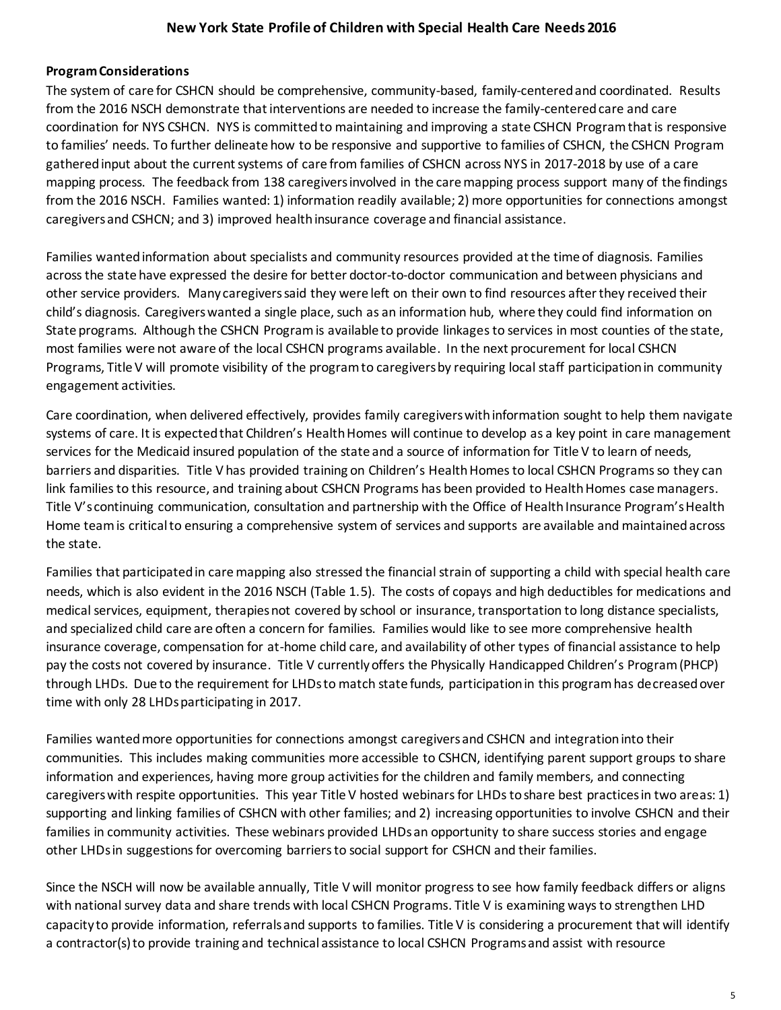#### **Program Considerations**

The system of care for CSHCN should be comprehensive, community-based, family-centered and coordinated. Results from the 2016 NSCH demonstrate that interventions are needed to increase the family-centered care and care coordination for NYS CSHCN. NYS is committed to maintaining and improving a state CSHCN Program that is responsive to families' needs. To further delineate how to be responsive and supportive to families of CSHCN, the CSHCN Program gatheredinput about the current systems of care from families of CSHCN across NYS in 2017-2018 by use of a care mapping process. The feedback from 138 caregiversinvolved in the care mapping process support many of the findings from the 2016 NSCH. Families wanted: 1) information readily available; 2) more opportunities for connections amongst caregivers and CSHCN; and 3) improved health insurance coverage and financial assistance.

Families wantedinformation about specialists and community resources provided at the time of diagnosis. Families across the state have expressed the desire for better doctor-to-doctor communication and between physicians and other service providers. Many caregivers said they were left on their own to find resources after they received their child's diagnosis. Caregiverswanted a single place, such as an information hub, where they could find information on State programs. Although the CSHCN Programis available to provide linkagesto services in most counties of the state, most families were not aware of the local CSHCN programs available. In the next procurement for local CSHCN Programs, Title V will promote visibility of the program to caregivers by requiring local staff participation in community engagement activities.

Care coordination, when delivered effectively, provides family caregivers with information sought to help them navigate systems of care. It is expected that Children's Health Homes will continue to develop as a key point in care management services for the Medicaid insured population of the state and a source of information for Title V to learn of needs, barriers and disparities. Title V has provided training on Children's Health Homes to local CSHCN Programs so they can link families to this resource, and training about CSHCN Programs has been provided to Health Homes case managers. Title V's continuing communication, consultation and partnership with the Office of Health Insurance Program's Health Home team is critical to ensuring a comprehensive system of services and supports are available and maintained across the state.

Families that participated in caremapping also stressed the financial strain of supporting a child with special health care needs, which is also evident in the 2016 NSCH (Table 1.5). The costs of copays and high deductibles for medications and medical services, equipment, therapies not covered by school or insurance, transportation to long distance specialists, and specialized child care are often a concern for families. Families would like to see more comprehensive health insurance coverage, compensation for at-home child care, and availability of other types of financial assistance to help pay the costs not covered by insurance. Title V currently offers the Physically Handicapped Children's Program (PHCP) through LHDs. Due to the requirement for LHDs to match state funds, participation in this program has decreased over time with only 28 LHDs participating in 2017.

Families wantedmore opportunities for connections amongst caregivers and CSHCN and integrationinto their communities. This includes making communities more accessible to CSHCN, identifying parent support groups to share information and experiences, having more group activities for the children and family members, and connecting caregivers with respite opportunities. This year Title V hosted webinars for LHDs to share best practices in two areas: 1) supporting and linking families of CSHCN with other families; and 2) increasing opportunities to involve CSHCN and their families in community activities. These webinars provided LHDs an opportunity to share success stories and engage other LHDs in suggestions for overcoming barriersto social support for CSHCN and their families.

Since the NSCH will now be available annually, Title V will monitor progress to see how family feedback differs or aligns with national survey data and share trends with local CSHCN Programs. Title V is examining ways to strengthen LHD capacity to provide information, referrals and supports to families. Title V is considering a procurement that will identify a contractor(s) to provide training and technical assistance to local CSHCN Programs and assist with resource